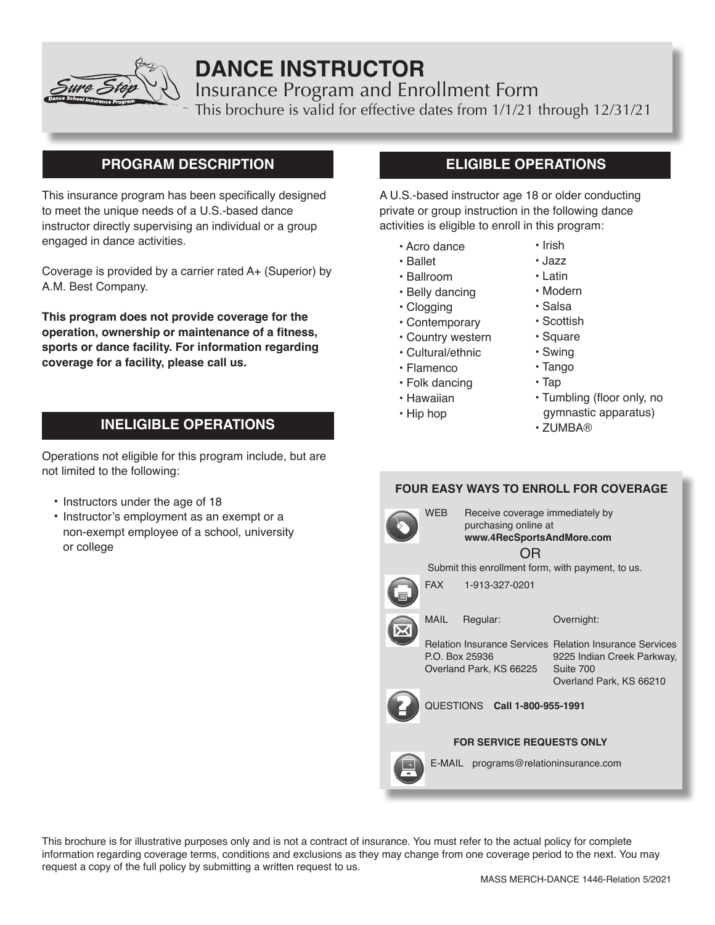

# **DANCE INSTRUCTOR**

Insurance Program and Enrollment Form

This brochure is valid for effective dates from 1/1/21 through 12/31/21

# **PROGRAM DESCRIPTION**

This insurance program has been specifically designed to meet the unique needs of a U.S.-based dance instructor directly supervising an individual or a group engaged in dance activities.

Coverage is provided by a carrier rated A+ (Superior) by A.M. Best Company.

**This program does not provide coverage for the operation, ownership or maintenance of a fitness, sports or dance facility. For information regarding coverage for a facility, please call us.**

# **INELIGIBLE OPERATIONS**

Operations not eligible for this program include, but are not limited to the following:

- Instructors under the age of 18
- Instructor's employment as an exempt or a non-exempt employee of a school, university or college

# **ELIGIBLE OPERATIONS**

A U.S.-based instructor age 18 or older conducting private or group instruction in the following dance activities is eligible to enroll in this program:

- Acro dance
- Ballet
- Ballroom
- Belly dancing
- Clogging
- Contemporary
- Country western
- Cultural/ethnic
- Flamenco
- Folk dancing
- Hawaiian
- Hip hop
- ZUMBA®
- **FOUR EASY WAYS TO ENROLL FOR COVERAGE** FAX 1-913-327-0201 MAIL Regular: Relation Insurance Services Relation Insurance Services P.O. Box 25936 Overland Park, KS 66225 Suite 700 Submit this enrollment form, with payment, to us. OR Overnight: 9225 Indian Creek Parkway, Overland Park, KS 66210 QUESTIONS **Call 1-800-955-1991** WEB Receive coverage immediately by purchasing online at **www.4RecSportsAndMore.com**

## **FOR SERVICE REQUESTS ONLY**



E-MAIL programs@relationinsurance.com

This brochure is for illustrative purposes only and is not a contract of insurance. You must refer to the actual policy for complete information regarding coverage terms, conditions and exclusions as they may change from one coverage period to the next. You may request a copy of the full policy by submitting a written request to us.

- Irish • Jazz • Latin
- Modern
- Salsa
- Scottish
- Square
- Swing
- Tango
- Tap
	- Tumbling (floor only, no
		- gymnastic apparatus)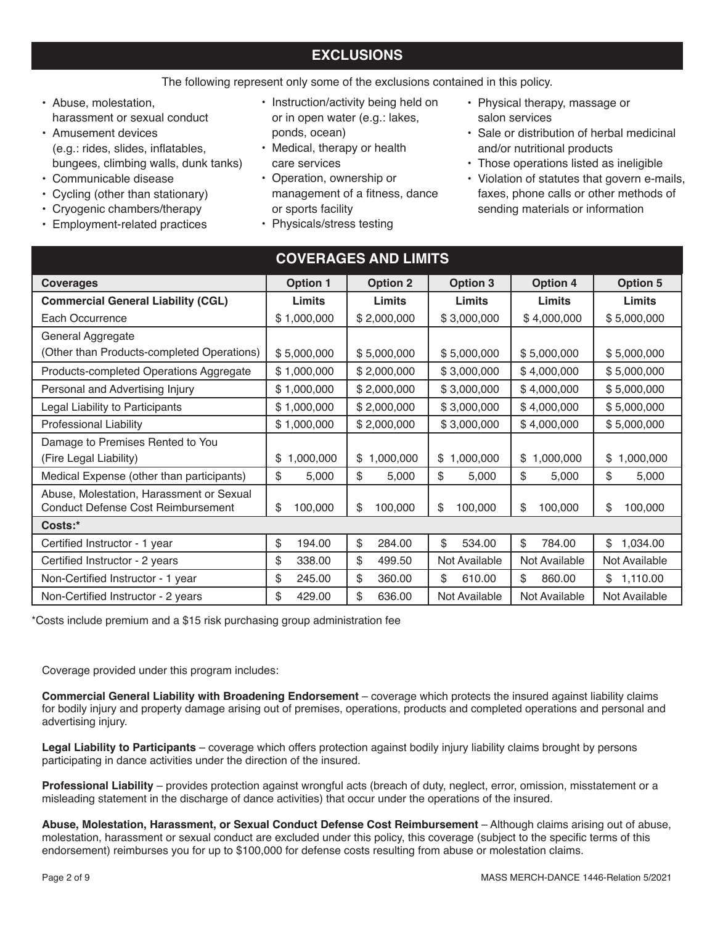# **EXCLUSIONS**

The following represent only some of the exclusions contained in this policy.

- Abuse, molestation, harassment or sexual conduct
- Amusement devices (e.g.: rides, slides, inflatables, bungees, climbing walls, dunk tanks)
- Communicable disease
- Cycling (other than stationary)
- Cryogenic chambers/therapy
- Employment-related practices
- Instruction/activity being held on or in open water (e.g.: lakes, ponds, ocean)
- Medical, therapy or health care services
- Operation, ownership or management of a fitness, dance or sports facility
- Physicals/stress testing
- Physical therapy, massage or salon services
- Sale or distribution of herbal medicinal and/or nutritional products
- Those operations listed as ineligible
- Violation of statutes that govern e-mails, faxes, phone calls or other methods of sending materials or information

| <b>COVERAGES AND LIMITS</b>                                                           |                 |                 |                            |                 |                 |
|---------------------------------------------------------------------------------------|-----------------|-----------------|----------------------------|-----------------|-----------------|
| <b>Coverages</b>                                                                      | <b>Option 1</b> | <b>Option 2</b> | <b>Option 3</b>            | <b>Option 4</b> | <b>Option 5</b> |
| <b>Commercial General Liability (CGL)</b>                                             | <b>Limits</b>   | Limits          | <b>Limits</b>              | Limits          | Limits          |
| Each Occurrence                                                                       | \$1,000,000     | \$2,000,000     | \$3,000,000                | \$4,000,000     | \$5,000,000     |
| General Aggregate                                                                     |                 |                 |                            |                 |                 |
| (Other than Products-completed Operations)                                            | \$5,000,000     | \$5,000,000     | \$5,000,000                | \$5,000,000     | \$5,000,000     |
| Products-completed Operations Aggregate                                               | \$1,000,000     | \$2,000,000     | \$3,000,000                | \$4,000,000     | \$5,000,000     |
| Personal and Advertising Injury                                                       | \$1,000,000     | \$2,000,000     | \$3,000,000                | \$4,000,000     | \$5,000,000     |
| Legal Liability to Participants                                                       | \$1,000,000     | \$2,000,000     | \$3,000,000                | \$4,000,000     | \$5,000,000     |
| <b>Professional Liability</b>                                                         | \$1,000,000     | \$2,000,000     | \$3,000,000<br>\$4,000,000 |                 | \$5,000,000     |
| Damage to Premises Rented to You                                                      |                 |                 |                            |                 |                 |
| (Fire Legal Liability)                                                                | 1,000,000<br>\$ | \$1,000,000     | \$1,000,000                | \$1,000,000     | 1,000,000<br>\$ |
| Medical Expense (other than participants)                                             | \$<br>5,000     | \$<br>5,000     | \$<br>5,000                | \$<br>5,000     | \$<br>5,000     |
| Abuse, Molestation, Harassment or Sexual<br><b>Conduct Defense Cost Reimbursement</b> | \$<br>100,000   | \$<br>100,000   | \$<br>100,000              | \$<br>100,000   | \$<br>100,000   |
| Costs:*                                                                               |                 |                 |                            |                 |                 |
| Certified Instructor - 1 year                                                         | \$<br>194.00    | \$<br>284.00    | \$<br>534.00               | \$<br>784.00    | \$<br>1,034.00  |
| Certified Instructor - 2 years                                                        | \$<br>338.00    | \$<br>499.50    | Not Available              | Not Available   | Not Available   |
| Non-Certified Instructor - 1 year                                                     | \$<br>245.00    | \$<br>360.00    | \$<br>610.00               | \$<br>860.00    | \$1,110.00      |
| Non-Certified Instructor - 2 years                                                    | \$<br>429.00    | \$<br>636.00    | Not Available              | Not Available   | Not Available   |

\*Costs include premium and a \$15 risk purchasing group administration fee

Coverage provided under this program includes:

**Commercial General Liability with Broadening Endorsement** – coverage which protects the insured against liability claims for bodily injury and property damage arising out of premises, operations, products and completed operations and personal and advertising injury.

**Legal Liability to Participants** – coverage which offers protection against bodily injury liability claims brought by persons participating in dance activities under the direction of the insured.

**Professional Liability** – provides protection against wrongful acts (breach of duty, neglect, error, omission, misstatement or a misleading statement in the discharge of dance activities) that occur under the operations of the insured.

**Abuse, Molestation, Harassment, or Sexual Conduct Defense Cost Reimbursement** – Although claims arising out of abuse, molestation, harassment or sexual conduct are excluded under this policy, this coverage (subject to the specific terms of this endorsement) reimburses you for up to \$100,000 for defense costs resulting from abuse or molestation claims.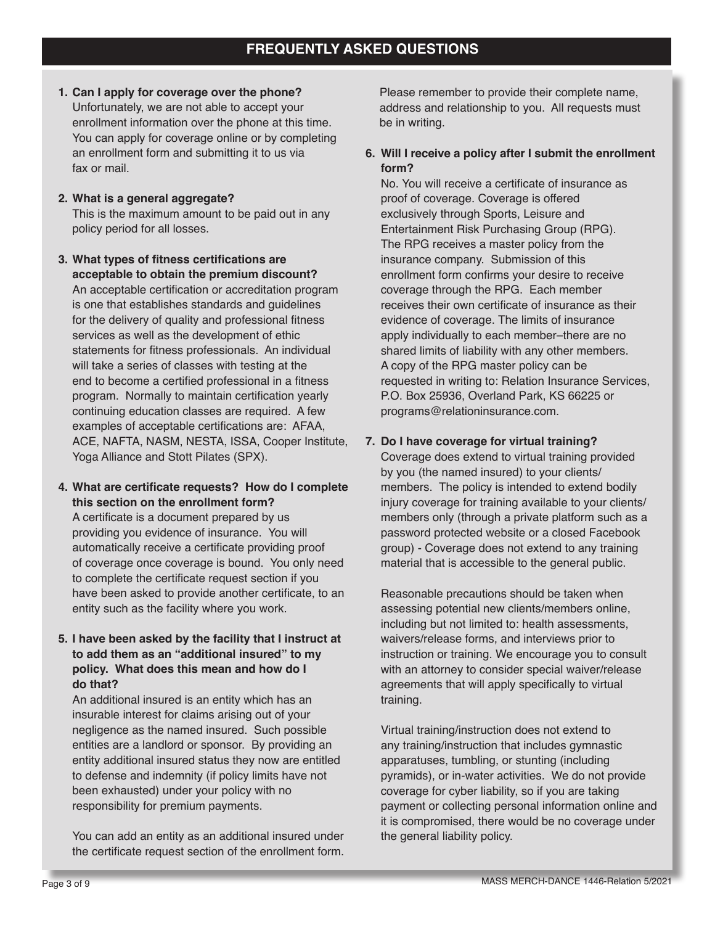- **1. Can I apply for coverage over the phone?** Unfortunately, we are not able to accept your enrollment information over the phone at this time. You can apply for coverage online or by completing an enrollment form and submitting it to us via fax or mail.
- **2. What is a general aggregate?** This is the maximum amount to be paid out in any policy period for all losses.
- **3. What types of fitness certifications are acceptable to obtain the premium discount?** An acceptable certification or accreditation program is one that establishes standards and guidelines for the delivery of quality and professional fitness services as well as the development of ethic statements for fitness professionals. An individual will take a series of classes with testing at the end to become a certified professional in a fitness program. Normally to maintain certification yearly continuing education classes are required. A few examples of acceptable certifications are: AFAA, ACE, NAFTA, NASM, NESTA, ISSA, Cooper Institute, Yoga Alliance and Stott Pilates (SPX).
- **4. What are certificate requests? How do I complete this section on the enrollment form?**

A certificate is a document prepared by us providing you evidence of insurance. You will automatically receive a certificate providing proof of coverage once coverage is bound. You only need to complete the certificate request section if you have been asked to provide another certificate, to an entity such as the facility where you work.

**5. I have been asked by the facility that I instruct at to add them as an "additional insured" to my policy. What does this mean and how do I do that?**

An additional insured is an entity which has an insurable interest for claims arising out of your negligence as the named insured. Such possible entities are a landlord or sponsor. By providing an entity additional insured status they now are entitled to defense and indemnity (if policy limits have not been exhausted) under your policy with no responsibility for premium payments.

You can add an entity as an additional insured under the certificate request section of the enrollment form. Please remember to provide their complete name, address and relationship to you. All requests must be in writing.

# **6. Will I receive a policy after I submit the enrollment form?**

No. You will receive a certificate of insurance as proof of coverage. Coverage is offered exclusively through Sports, Leisure and Entertainment Risk Purchasing Group (RPG). The RPG receives a master policy from the insurance company. Submission of this enrollment form confirms your desire to receive coverage through the RPG. Each member receives their own certificate of insurance as their evidence of coverage. The limits of insurance apply individually to each member–there are no shared limits of liability with any other members. A copy of the RPG master policy can be requested in writing to: Relation Insurance Services, P.O. Box 25936, Overland Park, KS 66225 or programs@relationinsurance.com.

# **7. Do I have coverage for virtual training?**

Coverage does extend to virtual training provided by you (the named insured) to your clients/ members. The policy is intended to extend bodily injury coverage for training available to your clients/ members only (through a private platform such as a password protected website or a closed Facebook group) - Coverage does not extend to any training material that is accessible to the general public.

Reasonable precautions should be taken when assessing potential new clients/members online, including but not limited to: health assessments, waivers/release forms, and interviews prior to instruction or training. We encourage you to consult with an attorney to consider special waiver/release agreements that will apply specifically to virtual training.

Virtual training/instruction does not extend to any training/instruction that includes gymnastic apparatuses, tumbling, or stunting (including pyramids), or in-water activities. We do not provide coverage for cyber liability, so if you are taking payment or collecting personal information online and it is compromised, there would be no coverage under the general liability policy.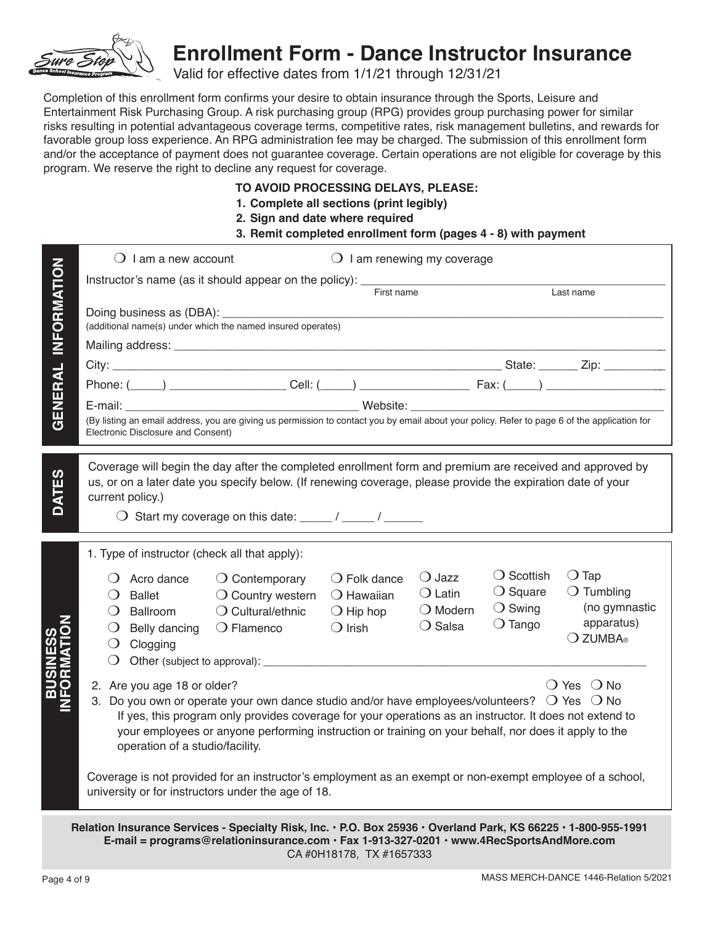

# **Enrollment Form - Dance Instructor Insurance**

Valid for effective dates from 1/1/21 through 12/31/21

Completion of this enrollment form confirms your desire to obtain insurance through the Sports, Leisure and Entertainment Risk Purchasing Group. A risk purchasing group (RPG) provides group purchasing power for similar risks resulting in potential advantageous coverage terms, competitive rates, risk management bulletins, and rewards for favorable group loss experience. An RPG administration fee may be charged. The submission of this enrollment form and/or the acceptance of payment does not guarantee coverage. Certain operations are not eligible for coverage by this program. We reserve the right to decline any request for coverage.

# **TO AVOID PROCESSING DELAYS, PLEASE:**

- **1. Complete all sections (print legibly)**
- **2. Sign and date where required**

## **3. Remit completed enrollment form (pages 4 - 8) with payment**

|                                                                                                                                                                                                                                        | $\bigcirc$ I am a new account<br>$\bigcirc$ I am renewing my coverage                                                                                                                                                                                                                                                                                                                                                                                                                                                                                                                                                |  |  |  |  |
|----------------------------------------------------------------------------------------------------------------------------------------------------------------------------------------------------------------------------------------|----------------------------------------------------------------------------------------------------------------------------------------------------------------------------------------------------------------------------------------------------------------------------------------------------------------------------------------------------------------------------------------------------------------------------------------------------------------------------------------------------------------------------------------------------------------------------------------------------------------------|--|--|--|--|
|                                                                                                                                                                                                                                        | Instructor's name (as it should appear on the policy): ________<br>First name<br>Last name                                                                                                                                                                                                                                                                                                                                                                                                                                                                                                                           |  |  |  |  |
| <b>INFORMATION</b>                                                                                                                                                                                                                     | (additional name(s) under which the named insured operates)                                                                                                                                                                                                                                                                                                                                                                                                                                                                                                                                                          |  |  |  |  |
|                                                                                                                                                                                                                                        |                                                                                                                                                                                                                                                                                                                                                                                                                                                                                                                                                                                                                      |  |  |  |  |
|                                                                                                                                                                                                                                        |                                                                                                                                                                                                                                                                                                                                                                                                                                                                                                                                                                                                                      |  |  |  |  |
|                                                                                                                                                                                                                                        |                                                                                                                                                                                                                                                                                                                                                                                                                                                                                                                                                                                                                      |  |  |  |  |
| GENERAL                                                                                                                                                                                                                                | (By listing an email address, you are giving us permission to contact you by email about your policy. Refer to page 6 of the application for<br>Electronic Disclosure and Consent)                                                                                                                                                                                                                                                                                                                                                                                                                                   |  |  |  |  |
| DATES                                                                                                                                                                                                                                  | Coverage will begin the day after the completed enrollment form and premium are received and approved by<br>us, or on a later date you specify below. (If renewing coverage, please provide the expiration date of your<br>current policy.)<br>$\bigcirc$ Start my coverage on this date: _____ / _____ / ______                                                                                                                                                                                                                                                                                                     |  |  |  |  |
|                                                                                                                                                                                                                                        | 1. Type of instructor (check all that apply):                                                                                                                                                                                                                                                                                                                                                                                                                                                                                                                                                                        |  |  |  |  |
|                                                                                                                                                                                                                                        | $\bigcirc$ Scottish<br>$\bigcirc$ Tap<br>$\bigcirc$ Jazz<br>$\bigcirc$ Folk dance<br>$\bigcirc$ Acro dance<br>$\bigcirc$ Contemporary<br>$\bigcirc$ Square<br>$\bigcirc$ Tumbling<br>$\bigcirc$ Latin<br>$\bigcirc$ Hawaiian<br><b>Ballet</b><br>$\bigcirc$ Country western<br>$\lambda$<br>(no gymnastic<br>$\bigcirc$ Swing<br>$\bigcirc$ Modern<br>$\bigcirc$ Cultural/ethnic<br>Ballroom<br>$\bigcirc$ Hip hop<br>$\left( \right)$<br>apparatus)<br>$\bigcirc$ Tango<br>$\bigcirc$ Salsa<br>$\bigcirc$ Irish<br>$\bigcirc$ Flamenco<br>$\Omega$<br>Belly dancing<br>○ ZUMBA®<br>Clogging<br>$\cup$<br>$\bigcirc$ |  |  |  |  |
| <b>NNS</b><br>SR                                                                                                                                                                                                                       | () Yes () No<br>2. Are you age 18 or older?<br>3. Do you own or operate your own dance studio and/or have employees/volunteers? $\bigcirc$ Yes $\bigcirc$ No<br>If yes, this program only provides coverage for your operations as an instructor. It does not extend to<br>your employees or anyone performing instruction or training on your behalf, nor does it apply to the<br>operation of a studio/facility.                                                                                                                                                                                                   |  |  |  |  |
| Coverage is not provided for an instructor's employment as an exempt or non-exempt employee of a school,<br>university or for instructors under the age of 18.                                                                         |                                                                                                                                                                                                                                                                                                                                                                                                                                                                                                                                                                                                                      |  |  |  |  |
| Relation Insurance Services - Specialty Risk, Inc. · P.O. Box 25936 · Overland Park, KS 66225 · 1-800-955-1991<br>E-mail = programs@relationinsurance.com · Fax 1-913-327-0201 · www.4RecSportsAndMore.com<br>CA #0H18178, TX #1657333 |                                                                                                                                                                                                                                                                                                                                                                                                                                                                                                                                                                                                                      |  |  |  |  |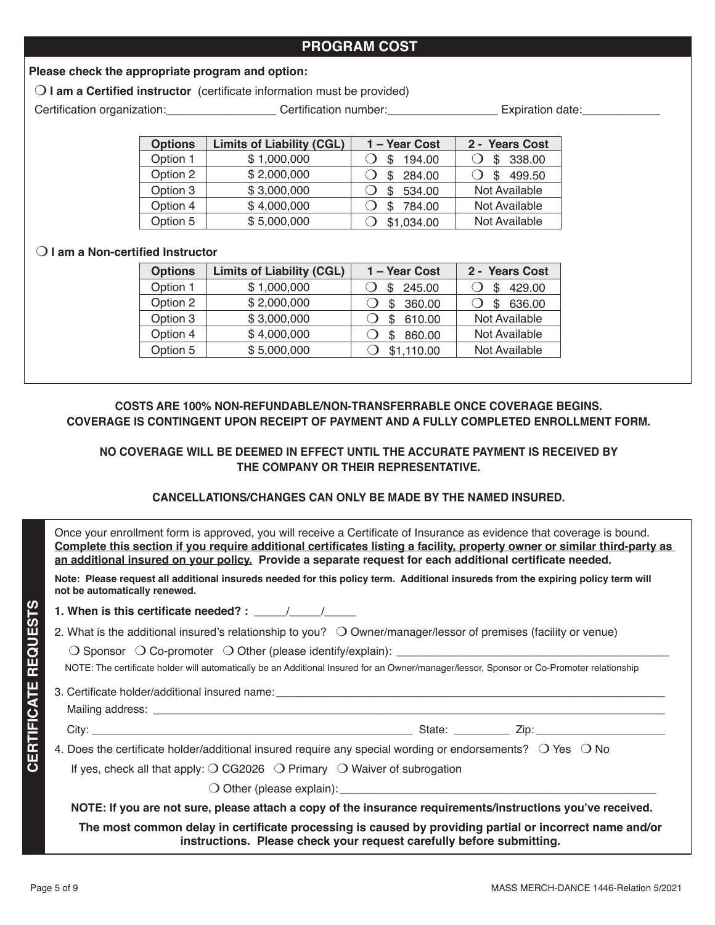# **PROGRAM COST**

# **Please check the appropriate program and option:**

**I am a Certified instructor** (certificate information must be provided)

Certification organization: \_\_\_\_\_\_\_\_\_\_\_\_\_\_\_\_\_\_\_ Certification number: \_\_\_\_\_\_\_\_\_\_\_\_\_\_\_\_\_\_\_ Expiration date: \_\_\_\_\_\_\_\_\_\_\_\_\_\_\_

| <b>Options</b> | <b>Limits of Liability (CGL)</b> | 1 - Year Cost | 2 - Years Cost |
|----------------|----------------------------------|---------------|----------------|
| Option 1       | \$1,000,000                      | 194.00<br>S   | 338.00<br>S    |
| Option 2       | \$2,000,000                      | 284.00<br>\$  | 499.50<br>S    |
| Option 3       | \$3,000,000                      | 534.00<br>\$  | Not Available  |
| Option 4       | \$4,000,000                      | 784.00<br>\$  | Not Available  |
| Option 5       | \$5,000,000                      | \$1,034.00    | Not Available  |

## m **I am a Non-certified Instructor**

| <b>Options</b> | <b>Limits of Liability (CGL)</b> | 1 - Year Cost | 2 - Years Cost |
|----------------|----------------------------------|---------------|----------------|
| Option 1       | \$1,000,000                      | 245.00<br>\$. | 429.00         |
| Option 2       | \$2,000,000                      | 360.00<br>\$  | 636.00<br>ß.   |
| Option 3       | \$3,000,000                      | 610.00        | Not Available  |
| Option 4       | \$4,000,000                      | 860.00        | Not Available  |
| Option 5       | \$5,000,000                      | \$1,110.00    | Not Available  |

# **COSTS ARE 100% NON-REFUNDABLE/NON-TRANSFERRABLE ONCE COVERAGE BEGINS. COVERAGE IS CONTINGENT UPON RECEIPT OF PAYMENT AND A FULLY COMPLETED ENROLLMENT FORM.**

# **NO COVERAGE WILL BE DEEMED IN EFFECT UNTIL THE ACCURATE PAYMENT IS RECEIVED BY THE COMPANY OR THEIR REPRESENTATIVE.**

# **CANCELLATIONS/CHANGES CAN ONLY BE MADE BY THE NAMED INSURED.**

Once your enrollment form is approved, you will receive a Certificate of Insurance as evidence that coverage is bound. **Complete this section if you require additional certificates listing a facility, property owner or similar third-party as an additional insured on your policy. Provide a separate request for each additional certificate needed.** 

**Note: Please request all additional insureds needed for this policy term. Additional insureds from the expiring policy term will not be automatically renewed.** 

**1. When is this certificate needed? :** \_\_\_\_\_/\_\_\_\_\_/\_\_\_\_\_

2. What is the additional insured's relationship to you?  $\bigcirc$  Owner/manager/lessor of premises (facility or venue)

 $\bigcirc$  Sponsor  $\bigcirc$  Co-promoter  $\bigcirc$  Other (please identify/explain):

NOTE: The certificate holder will automatically be an Additional Insured for an Owner/manager/lessor, Sponsor or Co-Promoter relationship

3. Certificate holder/additional insured name:

Mailing address: \_\_\_\_\_\_\_\_\_\_\_\_\_\_\_\_\_\_\_\_\_\_\_\_\_\_\_\_\_\_\_\_\_\_\_\_\_\_\_\_\_\_\_\_\_\_\_\_\_\_\_\_\_\_\_\_\_\_\_\_\_\_\_\_\_\_\_\_\_\_\_\_\_\_\_\_\_\_\_\_\_\_\_

City: \_\_\_\_\_\_\_\_\_\_\_\_\_\_\_\_\_\_\_\_\_\_\_\_\_\_\_\_\_\_\_\_\_\_\_\_\_\_\_\_\_\_\_\_\_\_\_\_\_\_\_\_ State: \_\_\_\_\_\_\_\_\_ Zip:\_\_\_\_\_\_\_\_\_\_\_\_\_\_\_\_\_\_\_\_\_

4. Does the certificate holder/additional insured require any special wording or endorsements?  $\circ$  Yes  $\circ$  No

If yes, check all that apply:  $\bigcirc$  CG2026  $\bigcirc$  Primary  $\bigcirc$  Waiver of subrogation

 $\bigcirc$  Other (please explain):

**NOTE: If you are not sure, please attach a copy of the insurance requirements/instructions you've received.**

**The most common delay in certificate processing is caused by providing partial or incorrect name and/or instructions. Please check your request carefully before submitting.**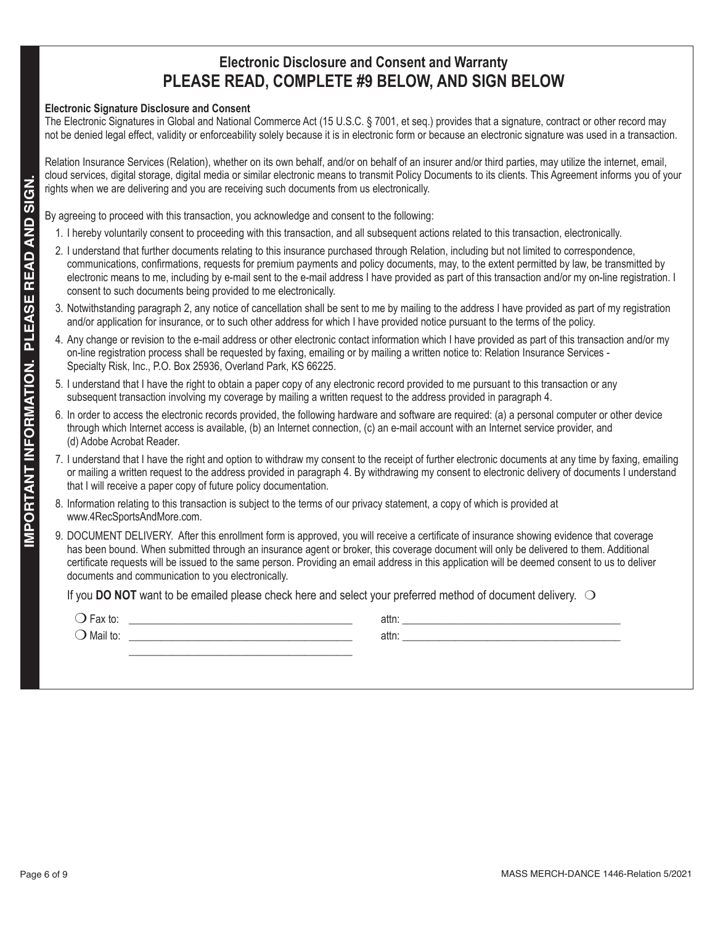# **Electronic Disclosure and Consent and Warranty PLEASE READ, COMPLETE #9 BELOW, AND SIGN BELOW**

### **Electronic Signature Disclosure and Consent**

The Electronic Signatures in Global and National Commerce Act (15 U.S.C. § 7001, et seq.) provides that a signature, contract or other record may not be denied legal effect, validity or enforceability solely because it is in electronic form or because an electronic signature was used in a transaction.

Relation Insurance Services (Relation), whether on its own behalf, and/or on behalf of an insurer and/or third parties, may utilize the internet, email, cloud services, digital storage, digital media or similar electronic means to transmit Policy Documents to its clients. This Agreement informs you of your rights when we are delivering and you are receiving such documents from us electronically.

By agreeing to proceed with this transaction, you acknowledge and consent to the following:

- 1. I hereby voluntarily consent to proceeding with this transaction, and all subsequent actions related to this transaction, electronically.
- **Pays and the state of 9 MASS MERCH-DANCE 1446-RELATION**<br> **Pays and the state of 9 MASS MERCH-DANCE INTERFERENCE INTO A SURFACE INTERFERENCE IS a material of the state of 9 MASS METHOD INTERFERENCE IS a material of the sta** 2. I understand that further documents relating to this insurance purchased through Relation, including but not limited to correspondence, communications, confirmations, requests for premium payments and policy documents, may, to the extent permitted by law, be transmitted by electronic means to me, including by e-mail sent to the e-mail address I have provided as part of this transaction and/or my on-line registration. I consent to such documents being provided to me electronically.
	- 3. Notwithstanding paragraph 2, any notice of cancellation shall be sent to me by mailing to the address I have provided as part of my registration and/or application for insurance, or to such other address for which I have provided notice pursuant to the terms of the policy.
	- 4. Any change or revision to the e-mail address or other electronic contact information which I have provided as part of this transaction and/or my on-line registration process shall be requested by faxing, emailing or by mailing a written notice to: Relation Insurance Services - Specialty Risk, Inc., P.O. Box 25936, Overland Park, KS 66225.
	- 5. I understand that I have the right to obtain a paper copy of any electronic record provided to me pursuant to this transaction or any subsequent transaction involving my coverage by mailing a written request to the address provided in paragraph 4.
	- 6. In order to access the electronic records provided, the following hardware and software are required: (a) a personal computer or other device through which Internet access is available, (b) an Internet connection, (c) an e-mail account with an Internet service provider, and (d) Adobe Acrobat Reader.
	- 7. I understand that I have the right and option to withdraw my consent to the receipt of further electronic documents at any time by faxing, emailing or mailing a written request to the address provided in paragraph 4. By withdrawing my consent to electronic delivery of documents I understand that I will receive a paper copy of future policy documentation.
	- 8. Information relating to this transaction is subject to the terms of our privacy statement, a copy of which is provided at www.4RecSportsAndMore.com.
	- 9. DOCUMENT DELIVERY. After this enrollment form is approved, you will receive a certificate of insurance showing evidence that coverage has been bound. When submitted through an insurance agent or broker, this coverage document will only be delivered to them. Additional certificate requests will be issued to the same person. Providing an email address in this application will be deemed consent to us to deliver documents and communication to you electronically.

If you **DO NOT** want to be emailed please check here and select your preferred method of document delivery.  $\bigcirc$ 

| $-0.11$<br>-αχ ιυ.  | attn: |  |
|---------------------|-------|--|
| $\cdots$<br>Mail to | attn: |  |
|                     |       |  |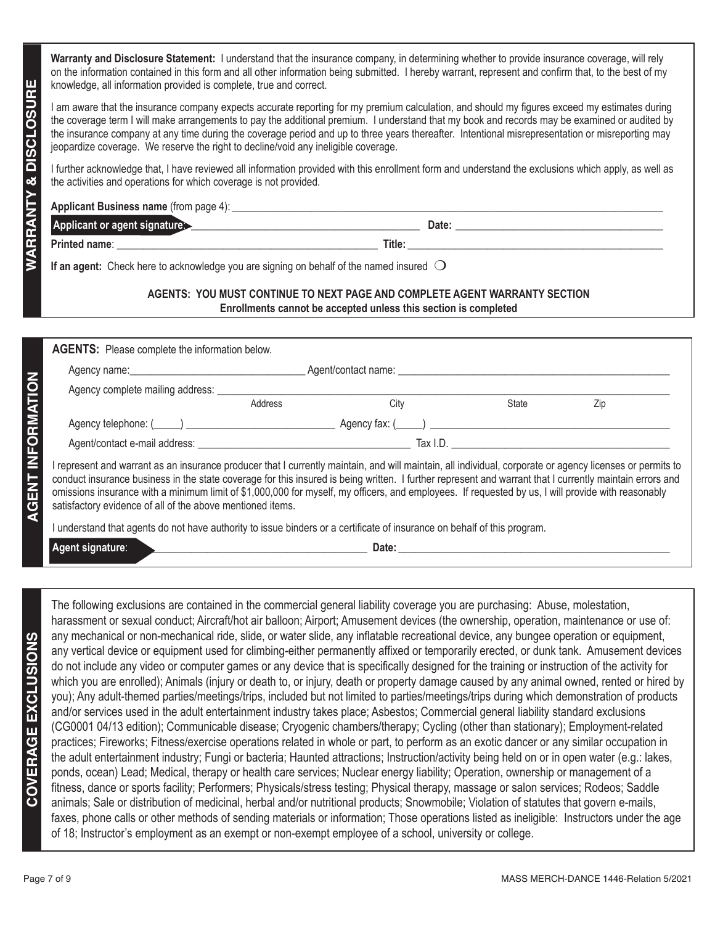**Warranty and Disclosure Statement:** I understand that the insurance company, in determining whether to provide insurance coverage, will rely on the information contained in this form and all other information being submitted. I hereby warrant, represent and confirm that, to the best of my knowledge, all information provided is complete, true and correct.

I am aware that the insurance company expects accurate reporting for my premium calculation, and should my figures exceed my estimates during the coverage term I will make arrangements to pay the additional premium. I understand that my book and records may be examined or audited by the insurance company at any time during the coverage period and up to three years thereafter. Intentional misrepresentation or misreporting may jeopardize coverage. We reserve the right to decline/void any ineligible coverage.

I further acknowledge that, I have reviewed all information provided with this enrollment form and understand the exclusions which apply, as well as the activities and operations for which coverage is not provided.

| <b>Applicant Business name (from page 4):</b> |        |
|-----------------------------------------------|--------|
| Applicant or agent signature:                 | Date:  |
| Printed name:                                 | Title: |

**If an agent:** Check here to acknowledge you are signing on behalf of the named insured  $\bigcirc$ 

### **AGENTS: YOU MUST CONTINUE TO NEXT PAGE AND COMPLETE AGENT WARRANTY SECTION Enrollments cannot be accepted unless this section is completed**

| <b>AGENTS:</b> Please complete the information below.                                                                                                   |         |      |                              |     |
|---------------------------------------------------------------------------------------------------------------------------------------------------------|---------|------|------------------------------|-----|
|                                                                                                                                                         |         |      |                              |     |
|                                                                                                                                                         |         |      |                              |     |
|                                                                                                                                                         | Address | City | State                        | Zip |
|                                                                                                                                                         |         |      | $\angle$ Agency fax: $($ $)$ |     |
|                                                                                                                                                         |         |      | Tax I.D.                     |     |
| represent and warrant as an insurance producer that I currently maintain, and will maintain, all individual, corporate or agency licenses or permits to |         |      |                              |     |

conduct insurance business in the state coverage for this insured is being written. I further represent and warrant that I currently maintain errors and omissions insurance with a minimum limit of \$1,000,000 for myself, my officers, and employees. If requested by us, I will provide with reasonably satisfactory evidence of all of the above mentioned items.

I understand that agents do not have authority to issue binders or a certificate of insurance on behalf of this program.

**Agent signature: Letter and Security 2 and Security 2 and Security 2 and Security 2 and Security 2 and Security 2 and Security 2 and Security 2 and Security 2 and Security 2 and Security 2 and Security 2 and Security 2** 

**EVERY distribution and the content of 9 MASS CONSURER CONSURER CONSULTING THE CONSULTING CONSULTING THE CONSULTING CONSULTING THE CONSULTING THE CONSULTING CONSULTING THE CONSULTING CONSULTING THE CONSULTING CONSULTING** The following exclusions are contained in the commercial general liability coverage you are purchasing: Abuse, molestation, harassment or sexual conduct; Aircraft/hot air balloon; Airport; Amusement devices (the ownership, operation, maintenance or use of: any mechanical or non-mechanical ride, slide, or water slide, any inflatable recreational device, any bungee operation or equipment, any vertical device or equipment used for climbing-either permanently affixed or temporarily erected, or dunk tank. Amusement devices do not include any video or computer games or any device that is specifically designed for the training or instruction of the activity for which you are enrolled); Animals (injury or death to, or injury, death or property damage caused by any animal owned, rented or hired by you); Any adult-themed parties/meetings/trips, included but not limited to parties/meetings/trips during which demonstration of products and/or services used in the adult entertainment industry takes place; Asbestos; Commercial general liability standard exclusions (CG0001 04/13 edition); Communicable disease; Cryogenic chambers/therapy; Cycling (other than stationary); Employment-related practices; Fireworks; Fitness/exercise operations related in whole or part, to perform as an exotic dancer or any similar occupation in the adult entertainment industry; Fungi or bacteria; Haunted attractions; Instruction/activity being held on or in open water (e.g.: lakes, ponds, ocean) Lead; Medical, therapy or health care services; Nuclear energy liability; Operation, ownership or management of a fitness, dance or sports facility; Performers; Physicals/stress testing; Physical therapy, massage or salon services; Rodeos; Saddle animals; Sale or distribution of medicinal, herbal and/or nutritional products; Snowmobile; Violation of statutes that govern e-mails, faxes, phone calls or other methods of sending materials or information; Those operations listed as ineligible: Instructors under the age of 18; Instructor's employment as an exempt or non-exempt employee of a school, university or college.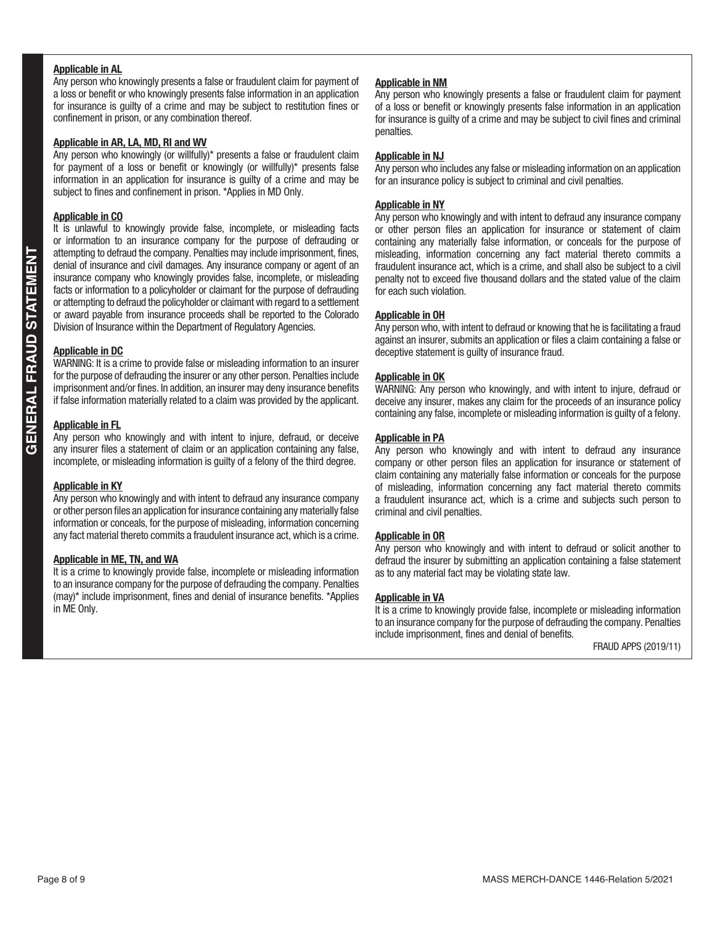### **Applicable in AL**

Any person who knowingly presents a false or fraudulent claim for payment of a loss or benefit or who knowingly presents false information in an application for insurance is guilty of a crime and may be subject to restitution fines or confinement in prison, or any combination thereof.

### **Applicable in AR, LA, MD, RI and WV**

Any person who knowingly (or willfully)\* presents a false or fraudulent claim for payment of a loss or benefit or knowingly (or willfully)\* presents false information in an application for insurance is guilty of a crime and may be subject to fines and confinement in prison. \*Applies in MD Only.

#### **Applicable in CO**

It is unlawful to knowingly provide false, incomplete, or misleading facts or information to an insurance company for the purpose of defrauding or attempting to defraud the company. Penalties may include imprisonment, fines, denial of insurance and civil damages. Any insurance company or agent of an insurance company who knowingly provides false, incomplete, or misleading facts or information to a policyholder or claimant for the purpose of defrauding or attempting to defraud the policyholder or claimant with regard to a settlement or award payable from insurance proceeds shall be reported to the Colorado Division of Insurance within the Department of Regulatory Agencies.

#### **Applicable in DC**

WARNING: It is a crime to provide false or misleading information to an insurer for the purpose of defrauding the insurer or any other person. Penalties include imprisonment and/or fines. In addition, an insurer may deny insurance benefits if false information materially related to a claim was provided by the applicant.

#### **Applicable in FL**

Any person who knowingly and with intent to injure, defraud, or deceive any insurer files a statement of claim or an application containing any false, incomplete, or misleading information is guilty of a felony of the third degree.

#### **Applicable in KY**

Any person who knowingly and with intent to defraud any insurance company or other person files an application for insurance containing any materially false information or conceals, for the purpose of misleading, information concerning any fact material thereto commits a fraudulent insurance act, which is a crime.

#### **Applicable in ME, TN, and WA**

It is a crime to knowingly provide false, incomplete or misleading information to an insurance company for the purpose of defrauding the company. Penalties (may)\* include imprisonment, fines and denial of insurance benefits. \*Applies in ME Only.

#### **Applicable in NM**

Any person who knowingly presents a false or fraudulent claim for payment of a loss or benefit or knowingly presents false information in an application for insurance is guilty of a crime and may be subject to civil fines and criminal penalties.

#### **Applicable in NJ**

Any person who includes any false or misleading information on an application for an insurance policy is subject to criminal and civil penalties.

### **Applicable in NY**

Any person who knowingly and with intent to defraud any insurance company or other person files an application for insurance or statement of claim containing any materially false information, or conceals for the purpose of misleading, information concerning any fact material thereto commits a fraudulent insurance act, which is a crime, and shall also be subject to a civil penalty not to exceed five thousand dollars and the stated value of the claim for each such violation.

#### **Applicable in OH**

Any person who, with intent to defraud or knowing that he is facilitating a fraud against an insurer, submits an application or files a claim containing a false or deceptive statement is guilty of insurance fraud.

#### **Applicable in OK**

WARNING: Any person who knowingly, and with intent to injure, defraud or deceive any insurer, makes any claim for the proceeds of an insurance policy containing any false, incomplete or misleading information is guilty of a felony.

#### **Applicable in PA**

Any person who knowingly and with intent to defraud any insurance company or other person files an application for insurance or statement of claim containing any materially false information or conceals for the purpose of misleading, information concerning any fact material thereto commits a fraudulent insurance act, which is a crime and subjects such person to criminal and civil penalties.

#### **Applicable in OR**

Any person who knowingly and with intent to defraud or solicit another to defraud the insurer by submitting an application containing a false statement as to any material fact may be violating state law.

#### **Applicable in VA**

It is a crime to knowingly provide false, incomplete or misleading information to an insurance company for the purpose of defrauding the company. Penalties include imprisonment, fines and denial of benefits.

FRAUD APPS (2019/11)